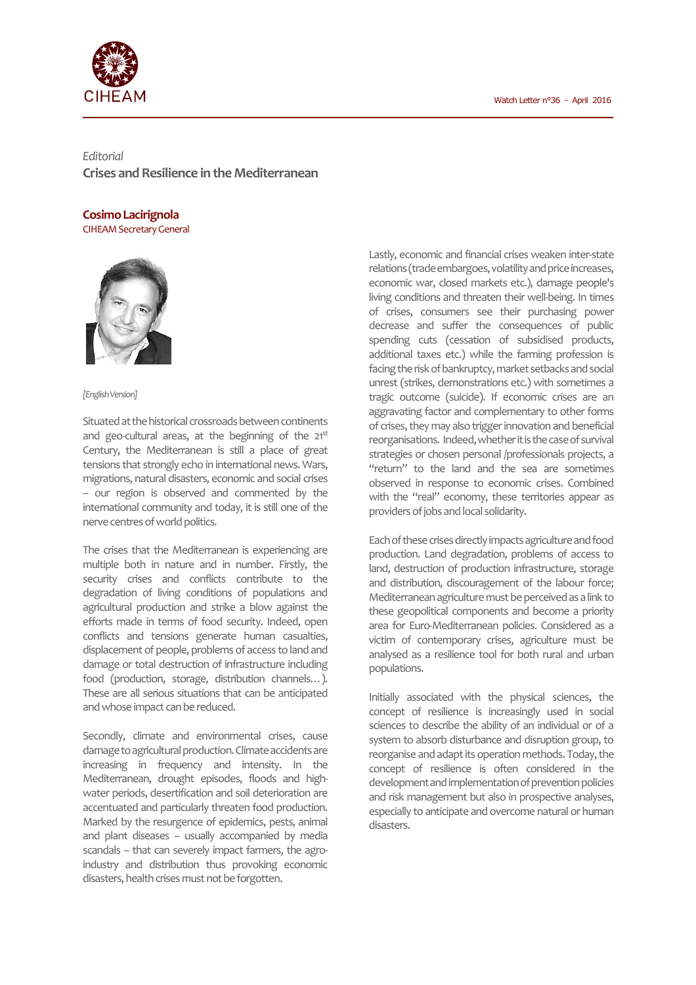

*Editorial*  **Crises and Resilience in the Mediterranean** 

## **Cosimo Lacirignola**

CIHEAM Secretary General



## *[English Version]*

Situated at the historical crossroads between continents and geo-cultural areas, at the beginning of the  $21^{st}$ Century, the Mediterranean is still a place of great tensions that strongly echo in international news. Wars, migrations, natural disasters, economic and social crises – our region is observed and commented by the international community and today, it is still one of the nerve centres of world politics.

The crises that the Mediterranean is experiencing are multiple both in nature and in number. Firstly, the security crises and conflicts contribute to the degradation of living conditions of populations and agricultural production and strike a blow against the efforts made in terms of food security. Indeed, open conflicts and tensions generate human casualties, displacement of people, problems of access to land and damage or total destruction of infrastructure including food (production, storage, distribution channels…). These are all serious situations that can be anticipated and whose impact can be reduced.

Secondly, climate and environmental crises, cause damage to agricultural production. Climate accidents are increasing in frequency and intensity. In the Mediterranean, drought episodes, floods and highwater periods, desertification and soil deterioration are accentuated and particularly threaten food production. Marked by the resurgence of epidemics, pests, animal and plant diseases – usually accompanied by media scandals – that can severely impact farmers, the agroindustry and distribution thus provoking economic disasters, health crises must not be forgotten.

Lastly, economic and financial crises weaken inter-state relations (trade embargoes, volatility and price increases, economic war, closed markets etc.), damage people's living conditions and threaten their well-being. In times of crises, consumers see their purchasing power decrease and suffer the consequences of public spending cuts (cessation of subsidised products, additional taxes etc.) while the farming profession is facing the risk of bankruptcy, market setbacks and social unrest (strikes, demonstrations etc.) with sometimes a tragic outcome (suicide). If economic crises are an aggravating factor and complementary to other forms of crises, they may also trigger innovation and beneficial reorganisations. Indeed, whether it is the case of survival strategies or chosen personal /professionals projects, a "return" to the land and the sea are sometimes observed in response to economic crises. Combined with the "real" economy, these territories appear as providers of jobs and local solidarity.

Each of these crises directly impacts agriculture and food production. Land degradation, problems of access to land, destruction of production infrastructure, storage and distribution, discouragement of the labour force; Mediterranean agriculture must be perceived as a link to these geopolitical components and become a priority area for Euro-Mediterranean policies. Considered as a victim of contemporary crises, agriculture must be analysed as a resilience tool for both rural and urban populations.

Initially associated with the physical sciences, the concept of resilience is increasingly used in social sciences to describe the ability of an individual or of a system to absorb disturbance and disruption group, to reorganise and adapt its operation methods. Today, the concept of resilience is often considered in the development and implementation of prevention policies and risk management but also in prospective analyses, especially to anticipate and overcome natural or human disasters.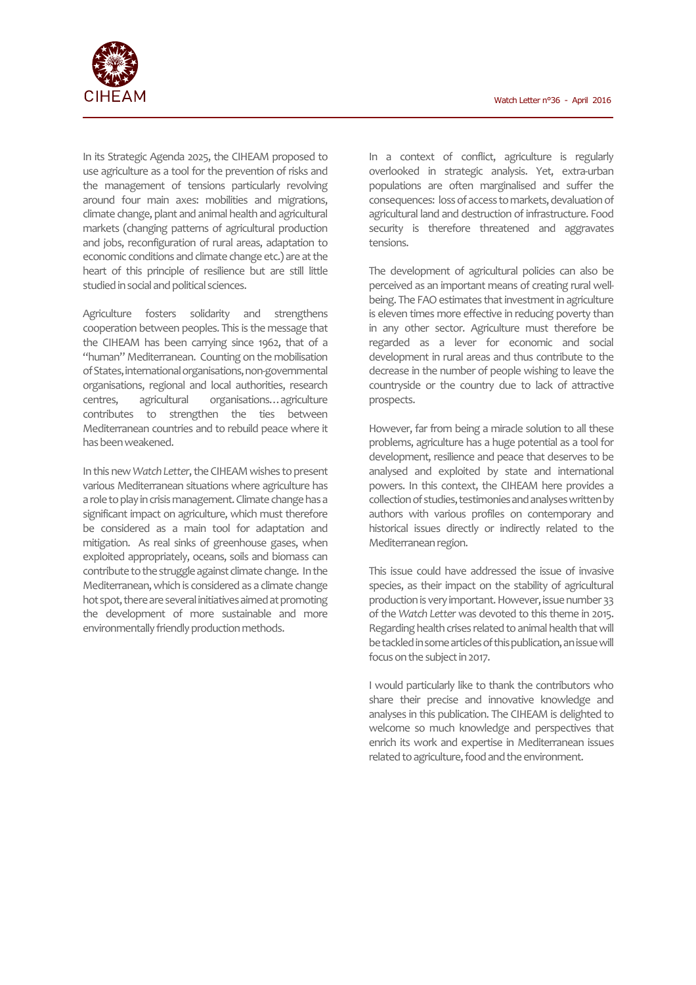

In its Strategic Agenda 2025, the CIHEAM proposed to use agriculture as a tool for the prevention of risks and the management of tensions particularly revolving around four main axes: mobilities and migrations, climate change, plant and animal health and agricultural markets (changing patterns of agricultural production and jobs, reconfiguration of rural areas, adaptation to economic conditions and climate change etc.) are at the heart of this principle of resilience but are still little studied in social and political sciences.

Agriculture fosters solidarity and strengthens cooperation between peoples. This is the message that the CIHEAM has been carrying since 1962, that of a "human" Mediterranean. Counting on the mobilisation of States, international organisations, non-governmental organisations, regional and local authorities, research centres, agricultural organisations…agriculture contributes to strengthen the ties between Mediterranean countries and to rebuild peace where it has been weakened.

In this new *Watch Letter*, the CIHEAM wishes to present various Mediterranean situations where agriculture has a role to play in crisis management. Climate change has a significant impact on agriculture, which must therefore be considered as a main tool for adaptation and mitigation. As real sinks of greenhouse gases, when exploited appropriately, oceans, soils and biomass can contribute to the struggle against climate change. In the Mediterranean, which is considered as a climate change hot spot, there are several initiatives aimed at promoting the development of more sustainable and more environmentally friendly production methods.

In a context of conflict, agriculture is regularly overlooked in strategic analysis. Yet, extra-urban populations are often marginalised and suffer the consequences: loss of access to markets, devaluation of agricultural land and destruction of infrastructure. Food security is therefore threatened and aggravates tensions.

The development of agricultural policies can also be perceived as an important means of creating rural wellbeing. The FAO estimates that investment in agriculture is eleven times more effective in reducing poverty than in any other sector. Agriculture must therefore be regarded as a lever for economic and social development in rural areas and thus contribute to the decrease in the number of people wishing to leave the countryside or the country due to lack of attractive prospects.

However, far from being a miracle solution to all these problems, agriculture has a huge potential as a tool for development, resilience and peace that deserves to be analysed and exploited by state and international powers. In this context, the CIHEAM here provides a collection of studies, testimonies and analyses written by authors with various profiles on contemporary and historical issues directly or indirectly related to the Mediterranean region.

This issue could have addressed the issue of invasive species, as their impact on the stability of agricultural production is very important. However, issue number 33 of the *Watch Letter* was devoted to this theme in 2015. Regarding health crises related to animal health that will be tackled in some articles of this publication, an issue will focus on the subject in 2017.

I would particularly like to thank the contributors who share their precise and innovative knowledge and analyses in this publication. The CIHEAM is delighted to welcome so much knowledge and perspectives that enrich its work and expertise in Mediterranean issues related to agriculture, food and the environment.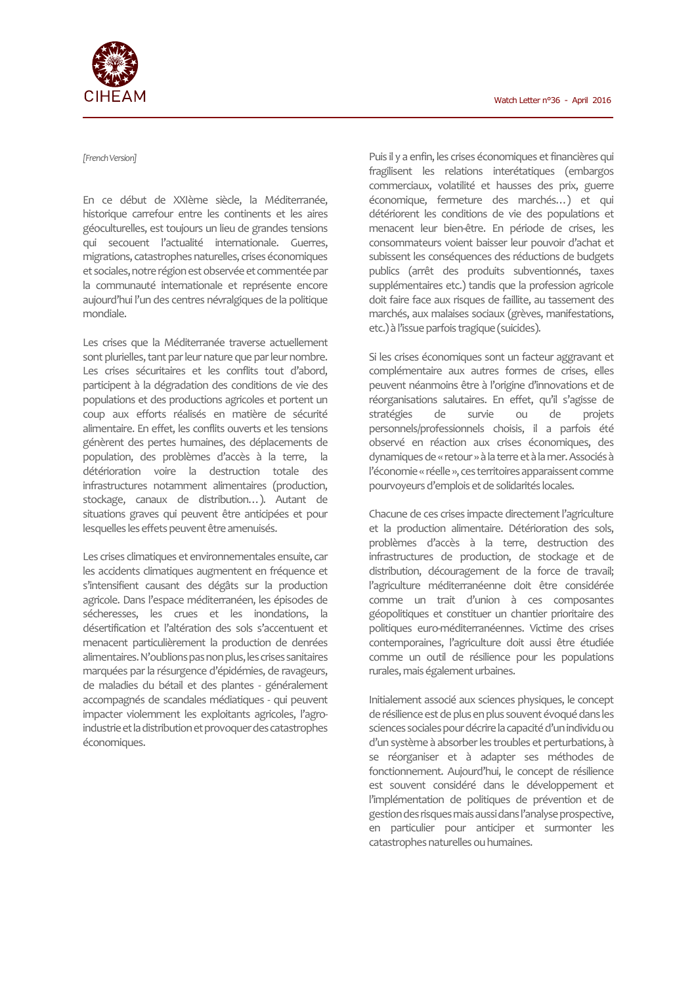

## *[French Version]*

En ce début de XXIème siècle, la Méditerranée, historique carrefour entre les continents et les aires géoculturelles, est toujours un lieu de grandes tensions qui secouent l'actualité internationale. Guerres, migrations, catastrophes naturelles, crises économiques et sociales, notre région est observée et commentée par la communauté internationale et représente encore aujourd'hui l'un des centres névralgiques de la politique mondiale.

Les crises que la Méditerranée traverse actuellement sont plurielles, tant par leur nature que par leur nombre. Les crises sécuritaires et les conflits tout d'abord, participent à la dégradation des conditions de vie des populations et des productions agricoles et portent un coup aux efforts réalisés en matière de sécurité alimentaire. En effet, les conflits ouverts et les tensions génèrent des pertes humaines, des déplacements de population, des problèmes d'accès à la terre, la détérioration voire la destruction totale des infrastructures notamment alimentaires (production, stockage, canaux de distribution…). Autant de situations graves qui peuvent être anticipées et pour lesquelles les effets peuvent être amenuisés.

Les crises climatiques et environnementales ensuite, car les accidents climatiques augmentent en fréquence et s'intensifient causant des dégâts sur la production agricole. Dans l'espace méditerranéen, les épisodes de sécheresses, les crues et les inondations, la désertification et l'altération des sols s'accentuent et menacent particulièrement la production de denrées alimentaires. N'oublions pas non plus, les crises sanitaires marquées par la résurgence d'épidémies, de ravageurs, de maladies du bétail et des plantes - généralement accompagnés de scandales médiatiques - qui peuvent impacter violemment les exploitants agricoles, l'agroindustrie et la distribution et provoquer des catastrophes économiques.

Puis il y a enfin, les crises économiques et financières qui fragilisent les relations interétatiques (embargos commerciaux, volatilité et hausses des prix, guerre économique, fermeture des marchés…) et qui détériorent les conditions de vie des populations et menacent leur bien-être. En période de crises, les consommateurs voient baisser leur pouvoir d'achat et subissent les conséquences des réductions de budgets publics (arrêt des produits subventionnés, taxes supplémentaires etc.) tandis que la profession agricole doit faire face aux risques de faillite, au tassement des marchés, aux malaises sociaux (grèves, manifestations, etc.) à l'issue parfois tragique (suicides).

Si les crises économiques sont un facteur aggravant et complémentaire aux autres formes de crises, elles peuvent néanmoins être à l'origine d'innovations et de réorganisations salutaires. En effet, qu'il s'agisse de stratégies de survie ou de projets personnels/professionnels choisis, il a parfois été observé en réaction aux crises économiques, des dynamiques de « retour » à la terre et à la mer. Associés à l'économie « réelle », ces territoires apparaissent comme pourvoyeurs d'emplois et de solidarités locales.

Chacune de ces crises impacte directement l'agriculture et la production alimentaire. Détérioration des sols, problèmes d'accès à la terre, destruction des infrastructures de production, de stockage et de distribution, découragement de la force de travail; l'agriculture méditerranéenne doit être considérée comme un trait d'union à ces composantes géopolitiques et constituer un chantier prioritaire des politiques euro-méditerranéennes. Victime des crises contemporaines, l'agriculture doit aussi être étudiée comme un outil de résilience pour les populations rurales, mais également urbaines.

Initialement associé aux sciences physiques, le concept de résilience est de plus en plus souvent évoqué dans les sciences sociales pour décrire la capacité d'un individu ou d'un système à absorber les troubles et perturbations, à se réorganiser et à adapter ses méthodes de fonctionnement. Aujourd'hui, le concept de résilience est souvent considéré dans le développement et l'implémentation de politiques de prévention et de gestion des risques mais aussi dans l'analyse prospective, en particulier pour anticiper et surmonter les catastrophes naturelles ou humaines.